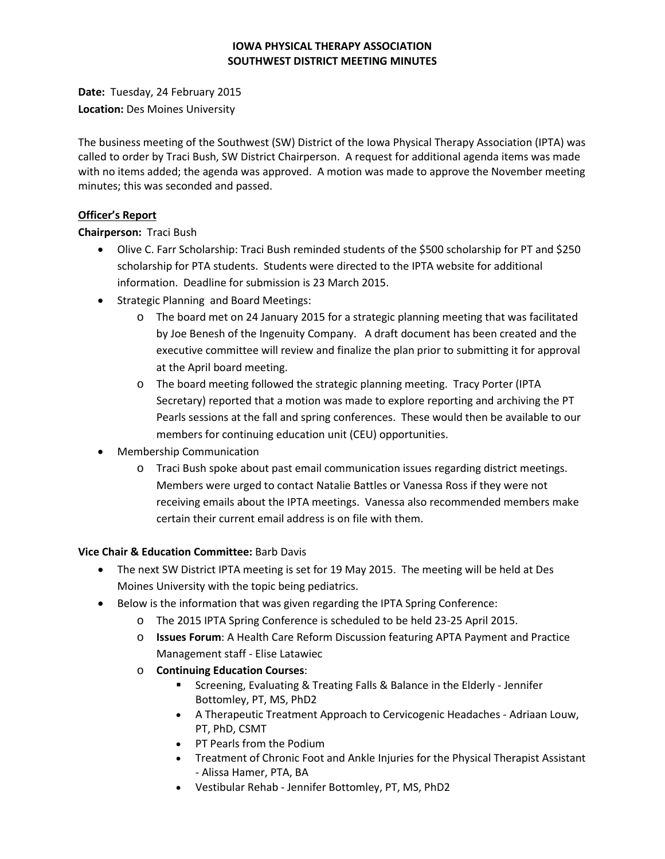### **IOWA PHYSICAL THERAPY ASSOCIATION SOUTHWEST DISTRICT MEETING MINUTES**

**Date:** Tuesday, 24 February 2015 **Location:** Des Moines University

The business meeting of the Southwest (SW) District of the Iowa Physical Therapy Association (IPTA) was called to order by Traci Bush, SW District Chairperson. A request for additional agenda items was made with no items added; the agenda was approved. A motion was made to approve the November meeting minutes; this was seconded and passed.

## **Officer's Report**

**Chairperson:** Traci Bush

- Olive C. Farr Scholarship: Traci Bush reminded students of the \$500 scholarship for PT and \$250 scholarship for PTA students. Students were directed to the IPTA website for additional information. Deadline for submission is 23 March 2015.
- Strategic Planning and Board Meetings:
	- o The board met on 24 January 2015 for a strategic planning meeting that was facilitated by Joe Benesh of the Ingenuity Company. A draft document has been created and the executive committee will review and finalize the plan prior to submitting it for approval at the April board meeting.
	- o The board meeting followed the strategic planning meeting. Tracy Porter (IPTA Secretary) reported that a motion was made to explore reporting and archiving the PT Pearls sessions at the fall and spring conferences. These would then be available to our members for continuing education unit (CEU) opportunities.
- Membership Communication
	- o Traci Bush spoke about past email communication issues regarding district meetings. Members were urged to contact Natalie Battles or Vanessa Ross if they were not receiving emails about the IPTA meetings. Vanessa also recommended members make certain their current email address is on file with them.

# **Vice Chair & Education Committee:** Barb Davis

- The next SW District IPTA meeting is set for 19 May 2015. The meeting will be held at Des Moines University with the topic being pediatrics.
- Below is the information that was given regarding the IPTA Spring Conference:
	- o The 2015 IPTA Spring Conference is scheduled to be held 23-25 April 2015.
	- o **Issues Forum**: A Health Care Reform Discussion featuring APTA Payment and Practice Management staff - Elise Latawiec
	- o **Continuing Education Courses**:
		- Screening, Evaluating & Treating Falls & Balance in the Elderly Jennifer Bottomley, PT, MS, PhD2
		- A Therapeutic Treatment Approach to Cervicogenic Headaches Adriaan Louw, PT, PhD, CSMT
		- PT Pearls from the Podium
		- Treatment of Chronic Foot and Ankle Injuries for the Physical Therapist Assistant - Alissa Hamer, PTA, BA
		- Vestibular Rehab Jennifer Bottomley, PT, MS, PhD2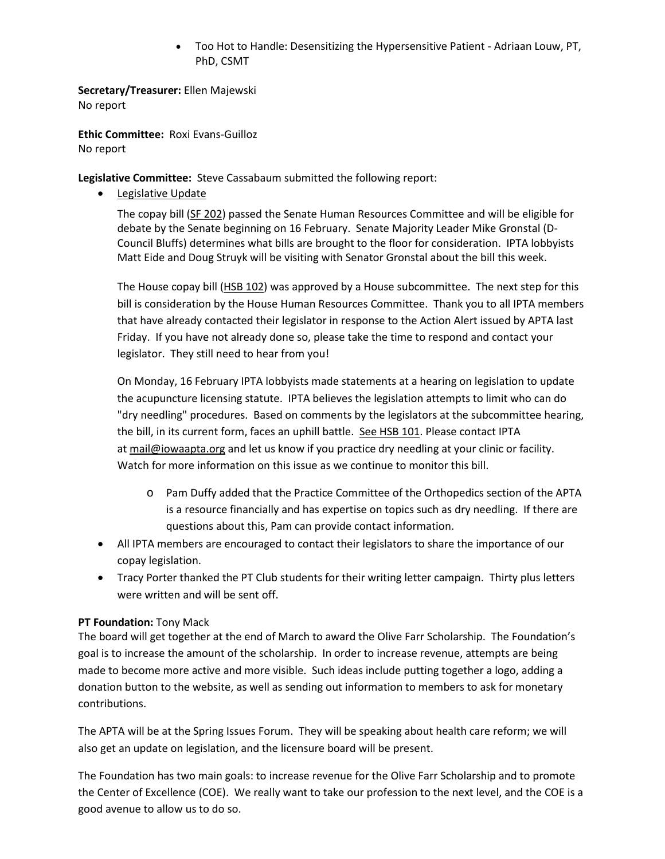• Too Hot to Handle: Desensitizing the Hypersensitive Patient - Adriaan Louw, PT, PhD, CSMT

**Secretary/Treasurer:** Ellen Majewski No report

**Ethic Committee:** Roxi Evans-Guilloz No report

**Legislative Committee:** Steve Cassabaum submitted the following report:

• Legislative Update

The copay bill [\(SF 202\)](http://r20.rs6.net/tn.jsp?e=001NPuqylfaWSu5qmVFyLSfYQ_MrkxHXfHm1NZsNrREI2EWaUuDO-yZvdK4EEkBFKBxKlHb_vphI9G316JhrtMw4yQexYbV6LVRa0fwxdfKMzA6mO3G6PKwQp9Xo-9g8EB3hU-QrkU0-ANFqYA0WNs47TCe8jH2wxrr8uXSmo4CyJLBWY-eONaFy_107U_g-9ZJEzIX67L74vv5KI69C4jABF1g1Y7okEuP97PVyv1rrP9U8cgj70EVsA==) passed the Senate Human Resources Committee and will be eligible for debate by the Senate beginning on 16 February. Senate Majority Leader Mike Gronstal (D-Council Bluffs) determines what bills are brought to the floor for consideration. IPTA lobbyists Matt Eide and Doug Struyk will be visiting with Senator Gronstal about the bill this week.

The House copay bill [\(HSB 102\)](http://r20.rs6.net/tn.jsp?e=001NPuqylfaWSu5qmVFyLSfYQ_MrkxHXfHm1NZsNrREI2EWaUuDO-yZvdK4EEkBFKBxKlHb_vphI9G316JhrtMw4yQexYbV6LVRa0fwxdfKMzA6mO3G6PKwQp9Xo-9g8EB3hU-QrkU0-ANFqYA0WNs47TCe8jH2wxrr8uXSmo4CyJLBWY-eONaFy_107U_g-9ZJEzIX67L74vv5KI69C4jABF1g1Y7okEuP17KxHY6A-0pRytNKugSxew==) was approved by a House subcommittee. The next step for this bill is consideration by the House Human Resources Committee. Thank you to all IPTA members that have already contacted their legislator in response to the Action Alert issued by APTA last Friday. If you have not already done so, please take the time to respond and contact your legislator. They still need to hear from you!

On Monday, 16 February IPTA lobbyists made statements at a hearing on legislation to update the acupuncture licensing statute. IPTA believes the legislation attempts to limit who can do "dry needling" procedures. Based on comments by the legislators at the subcommittee hearing, the bill, in its current form, faces an uphill battle. [See HSB 101.](http://r20.rs6.net/tn.jsp?e=001NPuqylfaWSu5qmVFyLSfYQ_MrkxHXfHm1NZsNrREI2EWaUuDO-yZvdK4EEkBFKBxKlHb_vphI9G316JhrtMw4yQexYbV6LVRa0fwxdfKMzA6mO3G6PKwQp9Xo-9g8EB3hU-QrkU0-ANFqYA0WNs47TCe8jH2wxrr8uXSmo4CyJLBWY-eONaFy_107U_g-9ZJEzIX67L74vv5KI69C4jABF1g1Y7okEuP17KxHY6A-0rjlnHsowgMtQ==) Please contact IPTA at [mail@iowaapta.org](mailto:mail@iowaapta.org) and let us know if you practice dry needling at your clinic or facility. Watch for more information on this issue as we continue to monitor this bill.

- o Pam Duffy added that the Practice Committee of the Orthopedics section of the APTA is a resource financially and has expertise on topics such as dry needling. If there are questions about this, Pam can provide contact information.
- All IPTA members are encouraged to contact their legislators to share the importance of our copay legislation.
- Tracy Porter thanked the PT Club students for their writing letter campaign. Thirty plus letters were written and will be sent off.

## **PT Foundation:** Tony Mack

The board will get together at the end of March to award the Olive Farr Scholarship. The Foundation's goal is to increase the amount of the scholarship. In order to increase revenue, attempts are being made to become more active and more visible. Such ideas include putting together a logo, adding a donation button to the website, as well as sending out information to members to ask for monetary contributions.

The APTA will be at the Spring Issues Forum. They will be speaking about health care reform; we will also get an update on legislation, and the licensure board will be present.

The Foundation has two main goals: to increase revenue for the Olive Farr Scholarship and to promote the Center of Excellence (COE). We really want to take our profession to the next level, and the COE is a good avenue to allow us to do so.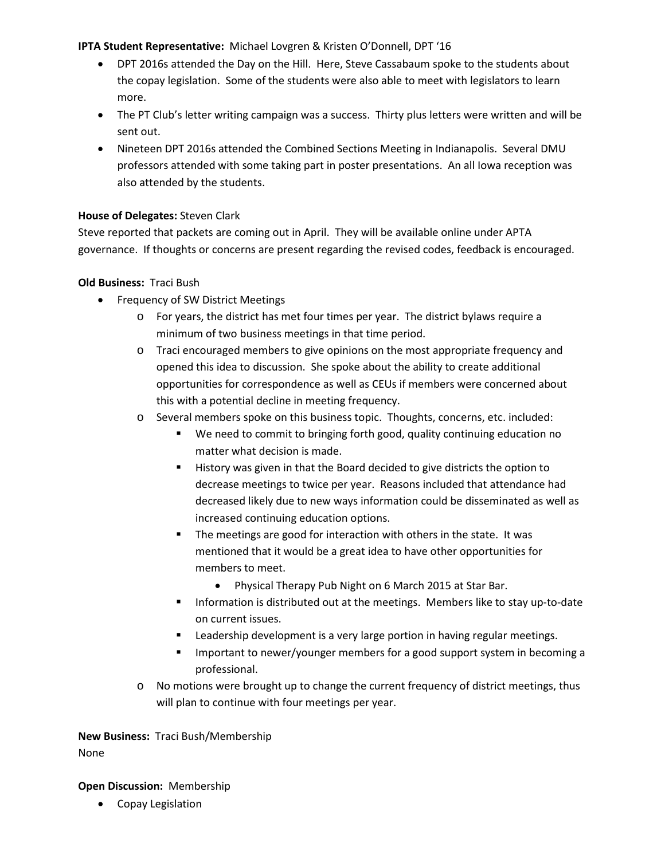#### **IPTA Student Representative:** Michael Lovgren & Kristen O'Donnell, DPT '16

- DPT 2016s attended the Day on the Hill. Here, Steve Cassabaum spoke to the students about the copay legislation. Some of the students were also able to meet with legislators to learn more.
- The PT Club's letter writing campaign was a success. Thirty plus letters were written and will be sent out.
- Nineteen DPT 2016s attended the Combined Sections Meeting in Indianapolis. Several DMU professors attended with some taking part in poster presentations. An all Iowa reception was also attended by the students.

### **House of Delegates:** Steven Clark

Steve reported that packets are coming out in April. They will be available online under APTA governance. If thoughts or concerns are present regarding the revised codes, feedback is encouraged.

## **Old Business:** Traci Bush

- Frequency of SW District Meetings
	- o For years, the district has met four times per year. The district bylaws require a minimum of two business meetings in that time period.
	- o Traci encouraged members to give opinions on the most appropriate frequency and opened this idea to discussion. She spoke about the ability to create additional opportunities for correspondence as well as CEUs if members were concerned about this with a potential decline in meeting frequency.
	- o Several members spoke on this business topic. Thoughts, concerns, etc. included:
		- We need to commit to bringing forth good, quality continuing education no matter what decision is made.
		- History was given in that the Board decided to give districts the option to decrease meetings to twice per year. Reasons included that attendance had decreased likely due to new ways information could be disseminated as well as increased continuing education options.
		- The meetings are good for interaction with others in the state. It was mentioned that it would be a great idea to have other opportunities for members to meet.
			- Physical Therapy Pub Night on 6 March 2015 at Star Bar.
		- Information is distributed out at the meetings. Members like to stay up-to-date on current issues.
		- Leadership development is a very large portion in having regular meetings.
		- Important to newer/younger members for a good support system in becoming a professional.
	- o No motions were brought up to change the current frequency of district meetings, thus will plan to continue with four meetings per year.

**New Business:** Traci Bush/Membership None

#### **Open Discussion:** Membership

• Copay Legislation